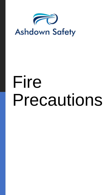

# Fire Precautions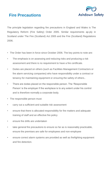



The principle legislation regarding fire precautions in England and Wales is The Regulatory Reform (Fire Safety) Order 2005. Similar requirements ap-ply in Scotland under The Fire (Scotland) Act 2005 and the Fire (Scotland) Regulations 2006.

- The Order has been in force since October 2006. The key points to note are:
- The emphasis is on assessing and reducing risks and producing a risk assessment and there is no requirement to have a fire certificate.
- Duties are placed on others (such as Facilities Management Contractors or fire alarm servicing companies) who have responsibility under a contract or tenancy for maintaining equipment or ensuring the safety of others..
- There are duties placed on the responsible person. The 'Responsible Person' is the employer if the workplace is to any extent under his control and is therefore normally a corporate body.
- The responsible person must:
- carry out a sufficient and suitable risk assessment
- ensure that there is allocated responsibility for fire matters and adequate training of staff and an effective fire policy
- ensure fire drills are undertaken
- take general fire precautions to ensure so far as is reasonably practicable, ensure the premises are safe for employees and non-employee
- ensure correct alarm systems are provided as well as firefighting equipment and fire detection.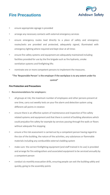**Fire Precautions**



- ensure appropriate signage is provided
- arrange any necessary contacts with external emergency services
- ensure emergency routes lead directly to a place of safety and emergency routes/exits are provided and protected, adequately signed, illuminated with emergency lighting where required and kept clear at all times
- ensure fire safety systems and equipment are adequately maintained including facilities provided for use by the fire brigade such as fire hydrants, smoke ventilation systems and firefighting lifts
- nominate one or more competent persons to implement the measures.

# "The 'Responsible Person' is the employer if the workplace is to any extent under his control"

### **Fire Protection and Precautions**

- **Recommendations for employers:**
- all groups at risk, the maximum number of employees and other persons present at one time, carry out weekly tests on your fire alarm and detection system using different call points in rotation
- ensure there is an effective system of maintenance and inspection of fire safety related systems and equipment and that there is control of building alterations which could prejudice fire safety for example by services passing through fire walls or floors without adequate fire stopping
- ensure a fire risk assessment is carried out by a competent person having regard to the size of the building, the nature of the activities, any substances or flammable materials including any combustible external cladding system
- make sure the correct firefighting equipment (and staff trained in its use) is provided and arrange for fire extinguishers and associated equipment to be serviced annually by a competent person
- conduct six monthly evacuation drills, ensuring people can exit the building safely and quickly, going to the assembly points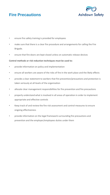# **Fire Precautions**



- ensure fire safety training is provided for employees
- make sure that there is a clear fire procedure and arrangements for calling the Fire Brigade.
- ensure that fire doors are kept closed unless on automatic release devices

# **Control methods or risk reduction techniques must be used to:**

- provide information on policy and implementation
- ensure all workers are aware of the risks of fire in the work place and the likely effects
- provide a clear statement to workers that fire prevention/precautions and protection is taken seriously at all levels of the organisation
- allocate clear management responsibilities for fire prevention and fire precautions
- properly understand what is involved in all areas of operation in order to implement appropriate and effective controls
- Keep track of and review the fire risk assessment and control measures to ensure ongoing effectiveness
- provide information on the legal framework surrounding fire precautions and prevention and the employer/employees duties under them